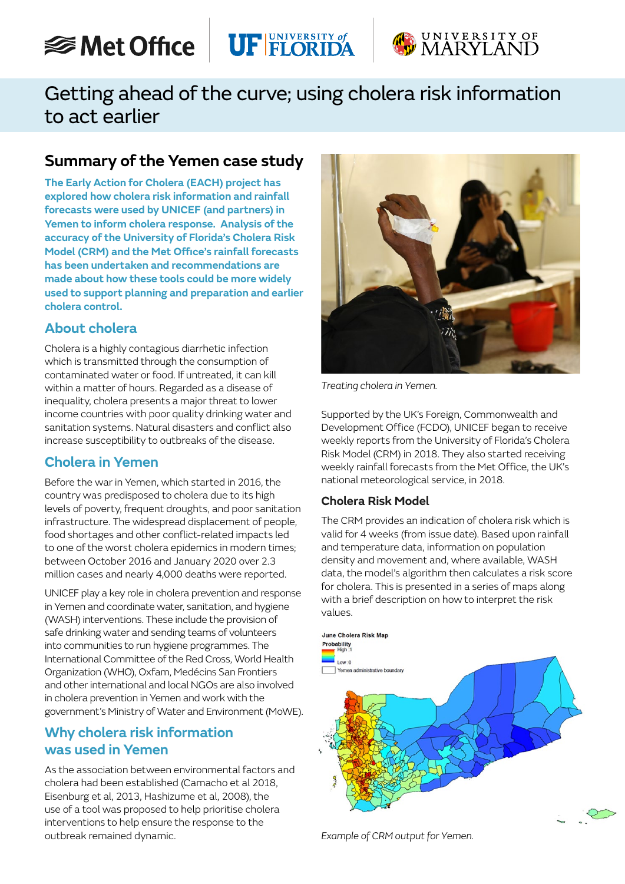# **<del></del>** Met Office





# Getting ahead of the curve; using cholera risk information to act earlier

# **Summary of the Yemen case study**

**The Early Action for Cholera (EACH) project has explored how cholera risk information and rainfall forecasts were used by UNICEF (and partners) in Yemen to inform cholera response. Analysis of the accuracy of the University of Florida's Cholera Risk Model (CRM) and the Met Office's rainfall forecasts has been undertaken and recommendations are made about how these tools could be more widely used to support planning and preparation and earlier cholera control.**

## **About cholera**

Cholera is a highly contagious diarrhetic infection which is transmitted through the consumption of contaminated water or food. If untreated, it can kill within a matter of hours. Regarded as a disease of inequality, cholera presents a major threat to lower income countries with poor quality drinking water and sanitation systems. Natural disasters and conflict also increase susceptibility to outbreaks of the disease.

## **Cholera in Yemen**

Before the war in Yemen, which started in 2016, the country was predisposed to cholera due to its high levels of poverty, frequent droughts, and poor sanitation infrastructure. The widespread displacement of people, food shortages and other conflict-related impacts led to one of the worst cholera epidemics in modern times; between October 2016 and January 2020 over 2.3 million cases and nearly 4,000 deaths were reported.

UNICEF play a key role in cholera prevention and response in Yemen and coordinate water, sanitation, and hygiene (WASH) interventions. These include the provision of safe drinking water and sending teams of volunteers into communities to run hygiene programmes. The International Committee of the Red Cross, World Health Organization (WHO), Oxfam, Medécins San Frontiers and other international and local NGOs are also involved in cholera prevention in Yemen and work with the government's Ministry of Water and Environment (MoWE).

## **Why cholera risk information was used in Yemen**

As the association between environmental factors and cholera had been established (Camacho et al 2018, Eisenburg et al, 2013, Hashizume et al, 2008), the use of a tool was proposed to help prioritise cholera interventions to help ensure the response to the outbreak remained dynamic.



*Treating cholera in Yemen.*

Supported by the UK's Foreign, Commonwealth and Development Office (FCDO), UNICEF began to receive weekly reports from the University of Florida's Cholera Risk Model (CRM) in 2018. They also started receiving weekly rainfall forecasts from the Met Office, the UK's national meteorological service, in 2018.

### **Cholera Risk Model**

The CRM provides an indication of cholera risk which is valid for 4 weeks (from issue date). Based upon rainfall and temperature data, information on population density and movement and, where available, WASH data, the model's algorithm then calculates a risk score for cholera. This is presented in a series of maps along with a brief description on how to interpret the risk values.



*Example of CRM output for Yemen.*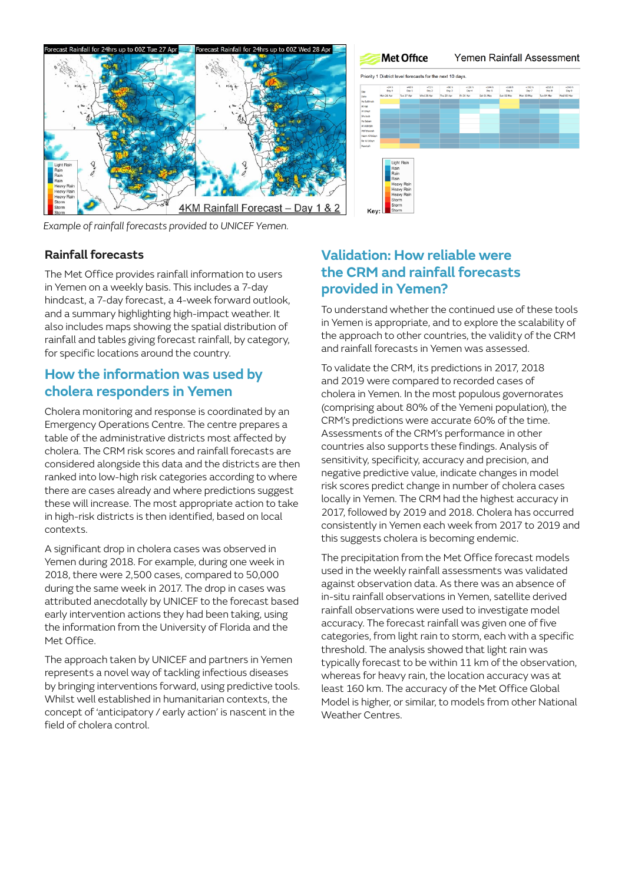

*Example of rainfall forecasts provided to UNICEF Yemen.*

# **Met Office** Yemen Rainfall Assessment Priority 1 District level forecasts for the next 10 days 972.h →96.h →120.h →144.h →168.h<br>- Day2 Day2 Day4 Day5 Day5<br>- Wadi218.Aor Thu 29.Aor Fri319.Aor Sat-01.Nkav Sun-02.Nkav

#### **Rainfall forecasts**

The Met Office provides rainfall information to users in Yemen on a weekly basis. This includes a 7-day hindcast, a 7-day forecast, a 4-week forward outlook, and a summary highlighting high-impact weather. It also includes maps showing the spatial distribution of rainfall and tables giving forecast rainfall, by category, for specific locations around the country.

### **How the information was used by cholera responders in Yemen**

Cholera monitoring and response is coordinated by an Emergency Operations Centre. The centre prepares a table of the administrative districts most affected by cholera. The CRM risk scores and rainfall forecasts are considered alongside this data and the districts are then ranked into low-high risk categories according to where there are cases already and where predictions suggest these will increase. The most appropriate action to take in high-risk districts is then identified, based on local contexts.

A significant drop in cholera cases was observed in Yemen during 2018. For example, during one week in 2018, there were 2,500 cases, compared to 50,000 during the same week in 2017. The drop in cases was attributed anecdotally by UNICEF to the forecast based early intervention actions they had been taking, using the information from the University of Florida and the Met Office.

The approach taken by UNICEF and partners in Yemen represents a novel way of tackling infectious diseases by bringing interventions forward, using predictive tools. Whilst well established in humanitarian contexts, the concept of 'anticipatory / early action' is nascent in the field of cholera control.

### **Validation: How reliable were the CRM and rainfall forecasts provided in Yemen?**

To understand whether the continued use of these tools in Yemen is appropriate, and to explore the scalability of the approach to other countries, the validity of the CRM and rainfall forecasts in Yemen was assessed.

To validate the CRM, its predictions in 2017, 2018 and 2019 were compared to recorded cases of cholera in Yemen. In the most populous governorates (comprising about 80% of the Yemeni population), the CRM's predictions were accurate 60% of the time. Assessments of the CRM's performance in other countries also supports these findings. Analysis of sensitivity, specificity, accuracy and precision, and negative predictive value, indicate changes in model risk scores predict change in number of cholera cases locally in Yemen. The CRM had the highest accuracy in 2017, followed by 2019 and 2018. Cholera has occurred consistently in Yemen each week from 2017 to 2019 and this suggests cholera is becoming endemic.

The precipitation from the Met Office forecast models used in the weekly rainfall assessments was validated against observation data. As there was an absence of in-situ rainfall observations in Yemen, satellite derived rainfall observations were used to investigate model accuracy. The forecast rainfall was given one of five categories, from light rain to storm, each with a specific threshold. The analysis showed that light rain was typically forecast to be within 11 km of the observation, whereas for heavy rain, the location accuracy was at least 160 km. The accuracy of the Met Office Global Model is higher, or similar, to models from other National Weather Centres.